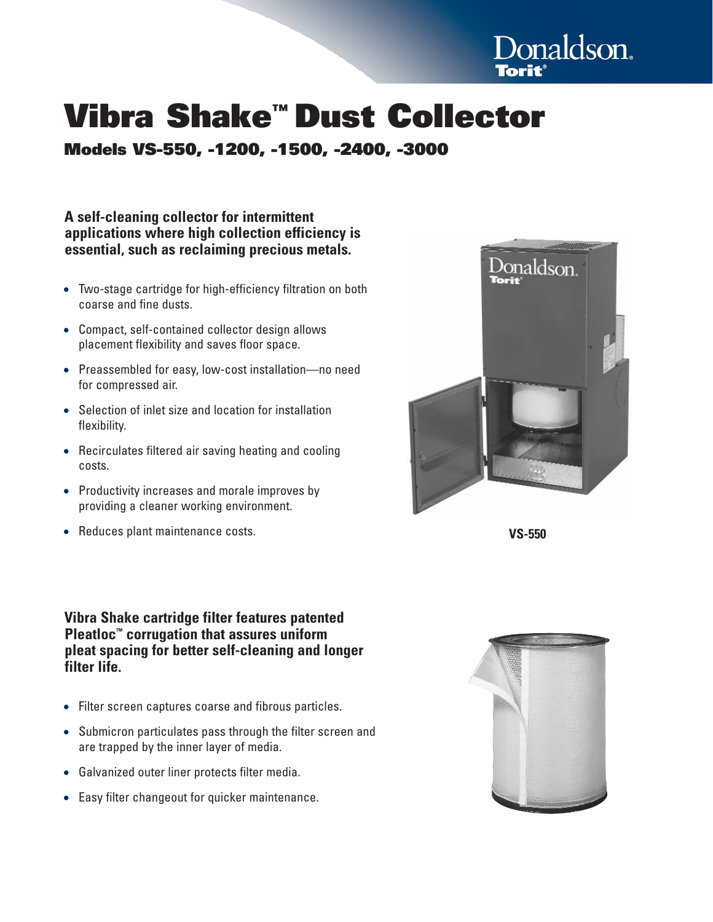

# **Vibra Shake™ Dust Collector**

**Models VS-550, -1200, -1500, -2400, -3000**

**A self-cleaning collector for intermittent applications where high collection efficiency is essential, such as reclaiming precious metals.**

- Two-stage cartridge for high-efficiency filtration on both coarse and fine dusts.
- Compact, self-contained collector design allows placement flexibility and saves floor space.
- Preassembled for easy, low-cost installation—no need for compressed air.
- Selection of inlet size and location for installation flexibility.
- Recirculates filtered air saving heating and cooling costs.
- Productivity increases and morale improves by providing a cleaner working environment.
- Reduces plant maintenance costs. **VS-550**

Donaldson.

## **Vibra Shake cartridge filter features patented Pleatloc™ corrugation that assures uniform pleat spacing for better self-cleaning and longer filter life.**

- Filter screen captures coarse and fibrous particles.
- Submicron particulates pass through the filter screen and are trapped by the inner layer of media.
- Galvanized outer liner protects filter media.
- Easy filter changeout for quicker maintenance.

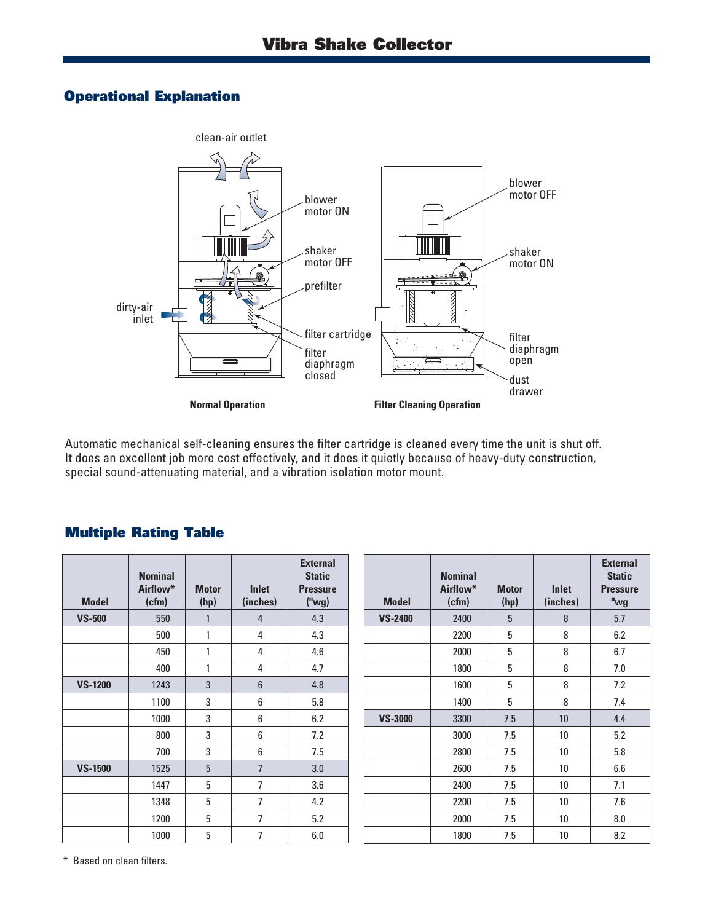## **Operational Explanation**



Automatic mechanical self-cleaning ensures the filter cartridge is cleaned every time the unit is shut off. It does an excellent job more cost effectively, and it does it quietly because of heavy-duty construction, special sound-attenuating material, and a vibration isolation motor mount.

## **Multiple Rating Table**

| <b>Model</b>   | <b>Nominal</b><br>Airflow*<br>(cfm) | <b>Motor</b><br>(hp) | <b>Inlet</b><br>(inches) | <b>External</b><br><b>Static</b><br><b>Pressure</b><br>("wg) | <b>Model</b>   | <b>Nominal</b><br>Airflow*<br>(cfm) | <b>Motor</b><br>(hp) | <b>Inlet</b><br>(inches) | <b>External</b><br><b>Static</b><br><b>Pressure</b><br>"wg |
|----------------|-------------------------------------|----------------------|--------------------------|--------------------------------------------------------------|----------------|-------------------------------------|----------------------|--------------------------|------------------------------------------------------------|
| <b>VS-500</b>  | 550                                 | $\mathbf{1}$         | $\overline{4}$           | 4.3                                                          | <b>VS-2400</b> | 2400                                | 5                    | 8                        | 5.7                                                        |
|                | 500                                 | 1                    | 4                        | 4.3                                                          |                | 2200                                | 5                    | 8                        | 6.2                                                        |
|                | 450                                 | 1                    | 4                        | 4.6                                                          |                | 2000                                | 5                    | 8                        | 6.7                                                        |
|                | 400                                 | 1                    | 4                        | 4.7                                                          |                | 1800                                | 5                    | 8                        | 7.0                                                        |
| <b>VS-1200</b> | 1243                                | 3                    | $6\phantom{1}$           | 4.8                                                          |                | 1600                                | 5                    | 8                        | 7.2                                                        |
|                | 1100                                | 3                    | 6                        | 5.8                                                          |                | 1400                                | 5                    | 8                        | 7.4                                                        |
|                | 1000                                | 3                    | 6                        | 6.2                                                          | <b>VS-3000</b> | 3300                                | 7.5                  | 10                       | 4.4                                                        |
|                | 800                                 | 3                    | 6                        | 7.2                                                          |                | 3000                                | 7.5                  | 10                       | 5.2                                                        |
|                | 700                                 | 3                    | 6                        | 7.5                                                          |                | 2800                                | 7.5                  | 10                       | 5.8                                                        |
| <b>VS-1500</b> | 1525                                | $5\phantom{.0}$      | $\overline{7}$           | 3.0                                                          |                | 2600                                | 7.5                  | 10                       | 6.6                                                        |
|                | 1447                                | 5                    | $\overline{7}$           | 3.6                                                          |                | 2400                                | 7.5                  | 10                       | 7.1                                                        |
|                | 1348                                | 5                    | 7                        | 4.2                                                          |                | 2200                                | 7.5                  | 10 <sup>°</sup>          | 7.6                                                        |
|                | 1200                                | 5                    | $\overline{7}$           | 5.2                                                          |                | 2000                                | 7.5                  | 10                       | 8.0                                                        |
|                | 1000                                | $5\,$                | $\overline{7}$           | 6.0                                                          |                | 1800                                | 7.5                  | 10                       | 8.2                                                        |

\* Based on clean filters.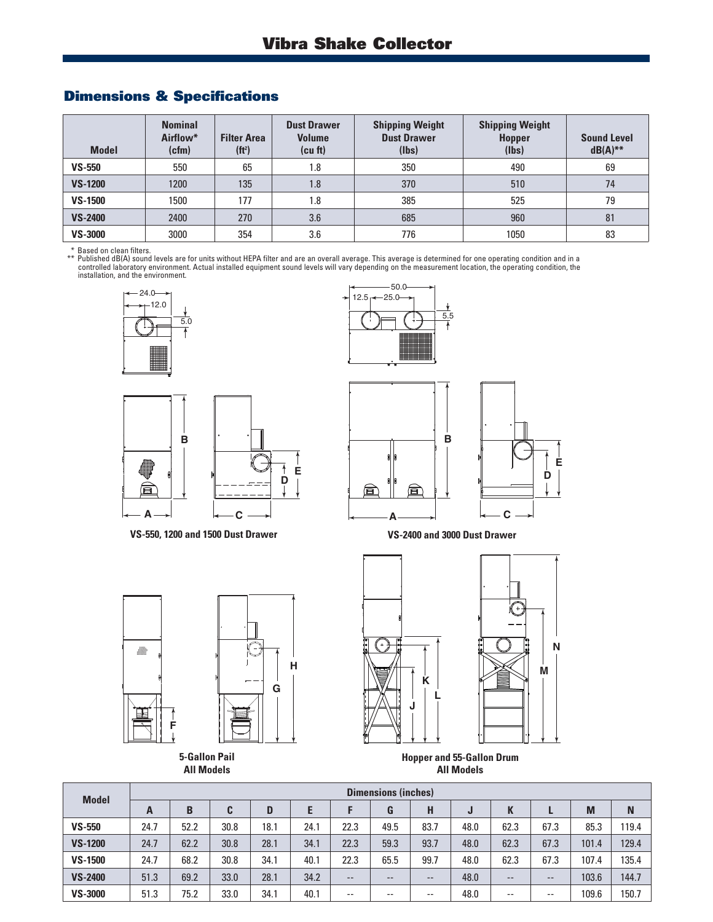## **Dimensions & Specifications**

| <b>Model</b>   | <b>Nominal</b><br>Airflow*<br>(cfm) | <b>Filter Area</b><br>(f t <sup>2</sup> ) | <b>Dust Drawer</b><br><b>Volume</b><br>(cu ft) | <b>Shipping Weight</b><br><b>Dust Drawer</b><br>(lbs) | <b>Shipping Weight</b><br><b>Hopper</b><br>(Ibs) | <b>Sound Level</b><br>$dB(A)$ ** |
|----------------|-------------------------------------|-------------------------------------------|------------------------------------------------|-------------------------------------------------------|--------------------------------------------------|----------------------------------|
| $VS - 550$     | 550                                 | 65                                        | 1.8                                            | 350                                                   | 490                                              | 69                               |
| <b>VS-1200</b> | 1200                                | 135                                       | 1.8                                            | 370                                                   | 510                                              | 74                               |
| <b>VS-1500</b> | 1500                                | 177                                       | 1.8                                            | 385                                                   | 525                                              | 79                               |
| <b>VS-2400</b> | 2400                                | 270                                       | 3.6                                            | 685                                                   | 960                                              | 81                               |
| <b>VS-3000</b> | 3000                                | 354                                       | 3.6                                            | 776                                                   | 1050                                             | 83                               |

\* Based on clean filters.<br>\*\* Published dB(A) sound levels are for units without HEPA filter and are an overall average. This average is determined for one operating condition and in a<br>controlled laboratory environment. Act







**VS-550, 1200 and 1500 Dust Drawer**



**E**

**VS-2400 and 3000 Dust Drawer**



**5-Gallon Pail All Models**



**Hopper and 55-Gallon Drum All Models**

| <b>Model</b>   | <b>Dimensions (inches)</b> |      |      |      |      |       |       |       |      |      |       |       |       |
|----------------|----------------------------|------|------|------|------|-------|-------|-------|------|------|-------|-------|-------|
|                | A                          | B    | C    | D    | E    |       | G     | н     | J    |      |       | M     | N     |
| $VS - 550$     | 24.7                       | 52.2 | 30.8 | 18.1 | 24.1 | 22.3  | 49.5  | 83.7  | 48.0 | 62.3 | 67.3  | 85.3  | 119.4 |
| <b>VS-1200</b> | 24.7                       | 62.2 | 30.8 | 28.1 | 34.1 | 22.3  | 59.3  | 93.7  | 48.0 | 62.3 | 67.3  | 101.4 | 129.4 |
| <b>VS-1500</b> | 24.7                       | 68.2 | 30.8 | 34.1 | 40.1 | 22.3  | 65.5  | 99.7  | 48.0 | 62.3 | 67.3  | 107.4 | 135.4 |
| <b>VS-2400</b> | 51.3                       | 69.2 | 33.0 | 28.1 | 34.2 | $- -$ | $- -$ | $- -$ | 48.0 | --   | $- -$ | 103.6 | 144.7 |
| <b>VS-3000</b> | 51.3                       | 75.2 | 33.0 | 34.1 | 40.1 | $- -$ | $- -$ | $- -$ | 48.0 | --   | $- -$ | 109.6 | 150.7 |